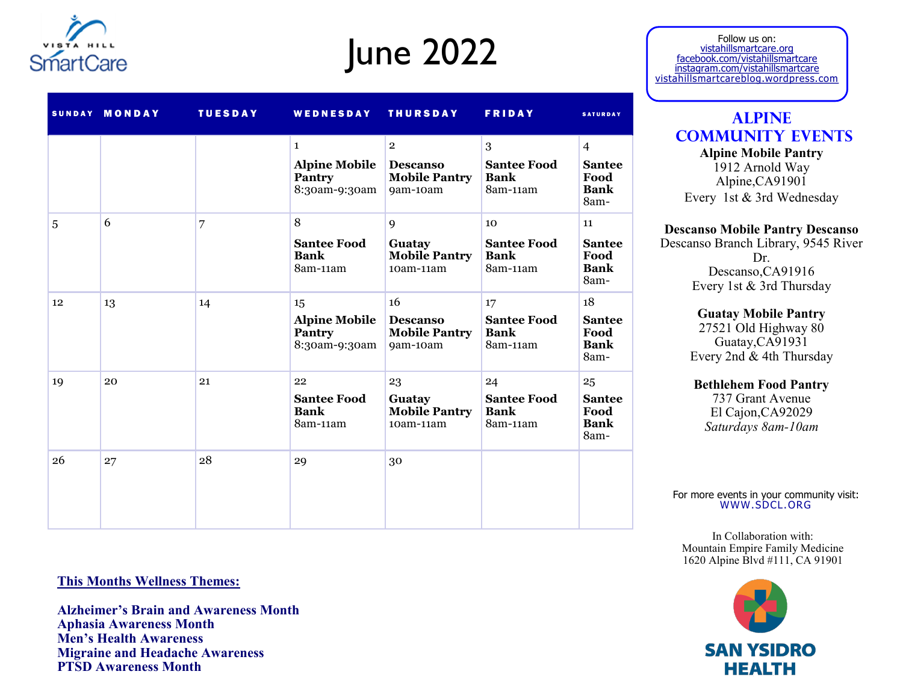

# June 2022

|    | SUNDAY MONDAY | <b>TUESDAY</b> | WEDNESDAY                                                              | <b>THURSDAY</b>                                                       | <b>FRIDAY</b>                                       | <b>SATURDAY</b>                                    |
|----|---------------|----------------|------------------------------------------------------------------------|-----------------------------------------------------------------------|-----------------------------------------------------|----------------------------------------------------|
|    |               |                | $\mathbf{1}$<br><b>Alpine Mobile</b><br><b>Pantry</b><br>8:30am-9:30am | $\overline{2}$<br><b>Descanso</b><br><b>Mobile Pantry</b><br>9am-10am | 3<br><b>Santee Food</b><br><b>Bank</b><br>8am-11am  | 4<br><b>Santee</b><br>Food<br><b>Bank</b><br>8am-  |
| 5  | 6             | 7              | 8<br><b>Santee Food</b><br><b>Bank</b><br>8am-11am                     | 9<br>Guatay<br><b>Mobile Pantry</b><br>10am-11am                      | 10<br><b>Santee Food</b><br><b>Bank</b><br>8am-11am | 11<br><b>Santee</b><br>Food<br><b>Bank</b><br>8am- |
| 12 | 13            | 14             | 15<br><b>Alpine Mobile</b><br><b>Pantry</b><br>8:30am-9:30am           | 16<br><b>Descanso</b><br><b>Mobile Pantry</b><br>9am-10am             | 17<br><b>Santee Food</b><br><b>Bank</b><br>8am-11am | 18<br><b>Santee</b><br>Food<br><b>Bank</b><br>8am- |
| 19 | 20            | 21             | 22<br><b>Santee Food</b><br><b>Bank</b><br>8am-11am                    | 23<br>Guatay<br><b>Mobile Pantry</b><br>10am-11am                     | 24<br><b>Santee Food</b><br><b>Bank</b><br>8am-11am | 25<br><b>Santee</b><br>Food<br><b>Bank</b><br>8am- |
| 26 | 27            | 28             | 29                                                                     | 30                                                                    |                                                     |                                                    |

Follow us on: vistahillsmartcare.org facebook.com/vistahillsmartcare instagram.com/vistahillsmartcare vistahillsmartcareblog.wordpress.com

> **Alpine Community Events**

**Alpine Mobile Pantry**  1912 Arnold Way Alpine,CA91901 Every 1st & 3rd Wednesday

### **Descanso Mobile Pantry Descanso** Descanso Branch Library, 9545 River Dr. Descanso,CA91916 Every 1st & 3rd Thursday

**Guatay Mobile Pantry** 27521 Old Highway 80 Guatay,CA91931 Every 2nd & 4th Thursday

**Bethlehem Food Pantry** 737 Grant Avenue El Cajon,CA92029 *Saturdays 8am-10am*

For more events in your community visit: WWW.SDCL.ORG

In Collaboration with: Mountain Empire Family Medicine 1620 Alpine Blvd #111, CA 91901



**This Months Wellness Themes:**

**Alzheimer's Brain and Awareness Month Aphasia Awareness Month Men's Health Awareness Migraine and Headache Awareness PTSD Awareness Month**